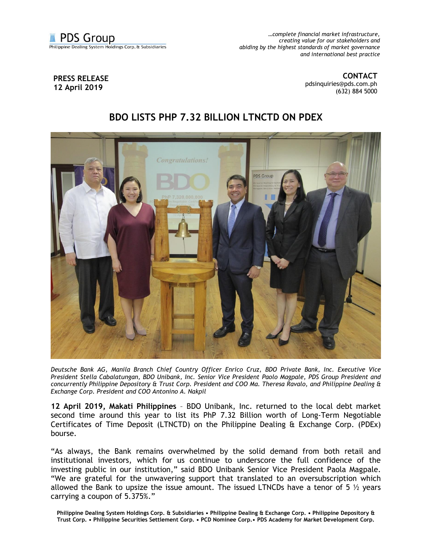

*…complete financial market infrastructure, creating value for our stakeholders and abiding by the highest standards of market governance and international best practice*

## **PRESS RELEASE 12 April 2019**

**CONTACT** [pdsinquiries@pds.com.ph](mailto:pdsinquiries@pds.com.ph) (632) 884 5000

## **BDO LISTS PHP 7.32 BILLION LTNCTD ON PDEX**



*Deutsche Bank AG, Manila Branch Chief Country Officer Enrico Cruz, BDO Private Bank, Inc. Executive Vice President Stella Cabalatungan, BDO Unibank, Inc. Senior Vice President Paolo Magpale, PDS Group President and concurrently Philippine Depository & Trust Corp. President and COO Ma. Theresa Ravalo, and Philippine Dealing & Exchange Corp. President and COO Antonino A. Nakpil*

**12 April 2019, Makati Philippines** – BDO Unibank, Inc. returned to the local debt market second time around this year to list its PhP 7.32 Billion worth of Long-Term Negotiable Certificates of Time Deposit (LTNCTD) on the Philippine Dealing & Exchange Corp. (PDEx) bourse.

"As always, the Bank remains overwhelmed by the solid demand from both retail and institutional investors, which for us continue to underscore the full confidence of the investing public in our institution," said BDO Unibank Senior Vice President Paola Magpale. "We are grateful for the unwavering support that translated to an oversubscription which allowed the Bank to upsize the issue amount. The issued LTNCDs have a tenor of 5  $\frac{1}{2}$  years carrying a coupon of 5.375%."